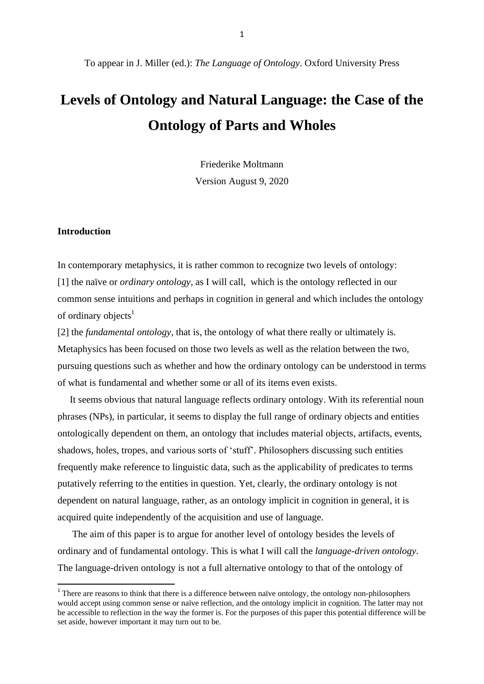# **Levels of Ontology and Natural Language: the Case of the Ontology of Parts and Wholes**

Friederike Moltmann Version August 9, 2020

#### **Introduction**

In contemporary metaphysics, it is rather common to recognize two levels of ontology: [1] the naïve or *ordinary ontology*, as I will call, which is the ontology reflected in our common sense intuitions and perhaps in cognition in general and which includes the ontology of ordinary objects<sup>1</sup>

[2] the *fundamental ontology*, that is, the ontology of what there really or ultimately is. Metaphysics has been focused on those two levels as well as the relation between the two, pursuing questions such as whether and how the ordinary ontology can be understood in terms of what is fundamental and whether some or all of its items even exists.

 It seems obvious that natural language reflects ordinary ontology. With its referential noun phrases (NPs), in particular, it seems to display the full range of ordinary objects and entities ontologically dependent on them, an ontology that includes material objects, artifacts, events, shadows, holes, tropes, and various sorts of 'stuff'. Philosophers discussing such entities frequently make reference to linguistic data, such as the applicability of predicates to terms putatively referring to the entities in question. Yet, clearly, the ordinary ontology is not dependent on natural language, rather, as an ontology implicit in cognition in general, it is acquired quite independently of the acquisition and use of language.

 The aim of this paper is to argue for another level of ontology besides the levels of ordinary and of fundamental ontology. This is what I will call the *language-driven ontology*. The language-driven ontology is not a full alternative ontology to that of the ontology of

There are reasons to think that there is a difference between naïve ontology, the ontology non-philosophers would accept using common sense or naïve reflection, and the ontology implicit in cognition. The latter may not be accessible to reflection in the way the former is. For the purposes of this paper this potential difference will be set aside, however important it may turn out to be.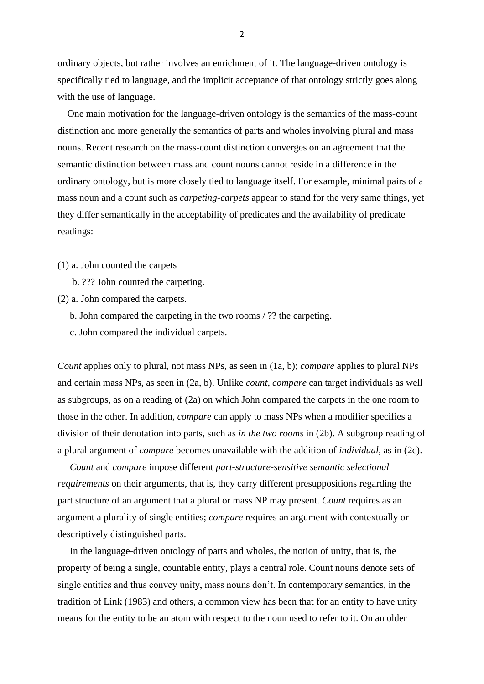ordinary objects, but rather involves an enrichment of it. The language-driven ontology is specifically tied to language, and the implicit acceptance of that ontology strictly goes along with the use of language.

 One main motivation for the language-driven ontology is the semantics of the mass-count distinction and more generally the semantics of parts and wholes involving plural and mass nouns. Recent research on the mass-count distinction converges on an agreement that the semantic distinction between mass and count nouns cannot reside in a difference in the ordinary ontology, but is more closely tied to language itself. For example, minimal pairs of a mass noun and a count such as *carpeting-carpets* appear to stand for the very same things, yet they differ semantically in the acceptability of predicates and the availability of predicate readings:

- (1) a. John counted the carpets
	- b. ??? John counted the carpeting.
- (2) a. John compared the carpets.
	- b. John compared the carpeting in the two rooms / ?? the carpeting.
	- c. John compared the individual carpets.

*Count* applies only to plural, not mass NPs, as seen in (1a, b); *compare* applies to plural NPs and certain mass NPs, as seen in (2a, b). Unlike *count*, *compare* can target individuals as well as subgroups, as on a reading of (2a) on which John compared the carpets in the one room to those in the other. In addition, *compare* can apply to mass NPs when a modifier specifies a division of their denotation into parts, such as *in the two rooms* in (2b). A subgroup reading of a plural argument of *compare* becomes unavailable with the addition of *individual*, as in (2c).

 *Count* and *compare* impose different *part-structure-sensitive semantic selectional requirements* on their arguments*,* that is, they carry different presuppositions regarding the part structure of an argument that a plural or mass NP may present. *Count* requires as an argument a plurality of single entities; *compare* requires an argument with contextually or descriptively distinguished parts.

 In the language-driven ontology of parts and wholes, the notion of unity, that is, the property of being a single, countable entity, plays a central role. Count nouns denote sets of single entities and thus convey unity, mass nouns don't. In contemporary semantics, in the tradition of Link (1983) and others, a common view has been that for an entity to have unity means for the entity to be an atom with respect to the noun used to refer to it. On an older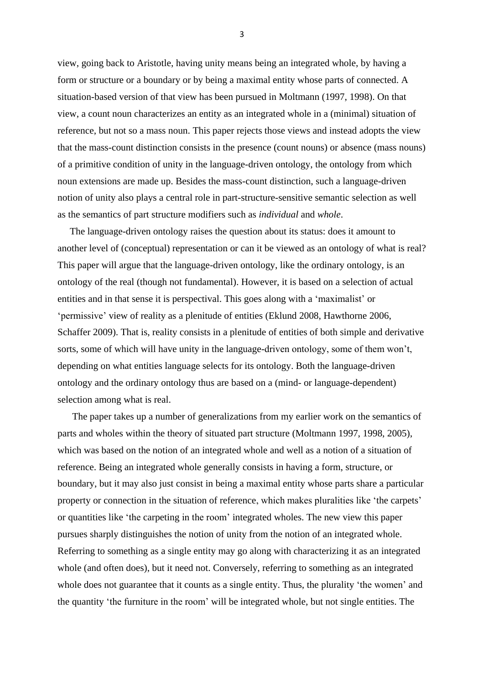view, going back to Aristotle, having unity means being an integrated whole, by having a form or structure or a boundary or by being a maximal entity whose parts of connected. A situation-based version of that view has been pursued in Moltmann (1997, 1998). On that view, a count noun characterizes an entity as an integrated whole in a (minimal) situation of reference, but not so a mass noun. This paper rejects those views and instead adopts the view that the mass-count distinction consists in the presence (count nouns) or absence (mass nouns) of a primitive condition of unity in the language-driven ontology, the ontology from which noun extensions are made up. Besides the mass-count distinction, such a language-driven notion of unity also plays a central role in part-structure-sensitive semantic selection as well as the semantics of part structure modifiers such as *individual* and *whole*.

 The language-driven ontology raises the question about its status: does it amount to another level of (conceptual) representation or can it be viewed as an ontology of what is real? This paper will argue that the language-driven ontology, like the ordinary ontology, is an ontology of the real (though not fundamental). However, it is based on a selection of actual entities and in that sense it is perspectival. This goes along with a 'maximalist' or 'permissive' view of reality as a plenitude of entities (Eklund 2008, Hawthorne 2006, Schaffer 2009). That is, reality consists in a plenitude of entities of both simple and derivative sorts, some of which will have unity in the language-driven ontology, some of them won't, depending on what entities language selects for its ontology. Both the language-driven ontology and the ordinary ontology thus are based on a (mind- or language-dependent) selection among what is real.

 The paper takes up a number of generalizations from my earlier work on the semantics of parts and wholes within the theory of situated part structure (Moltmann 1997, 1998, 2005), which was based on the notion of an integrated whole and well as a notion of a situation of reference. Being an integrated whole generally consists in having a form, structure, or boundary, but it may also just consist in being a maximal entity whose parts share a particular property or connection in the situation of reference, which makes pluralities like 'the carpets' or quantities like 'the carpeting in the room' integrated wholes. The new view this paper pursues sharply distinguishes the notion of unity from the notion of an integrated whole. Referring to something as a single entity may go along with characterizing it as an integrated whole (and often does), but it need not. Conversely, referring to something as an integrated whole does not guarantee that it counts as a single entity. Thus, the plurality 'the women' and the quantity 'the furniture in the room' will be integrated whole, but not single entities. The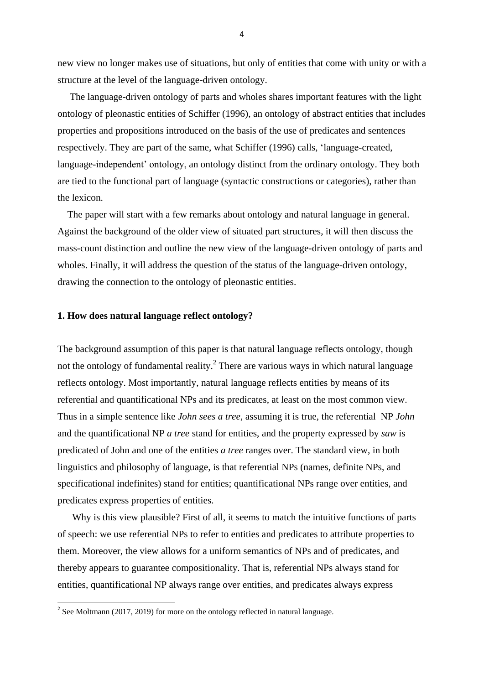new view no longer makes use of situations, but only of entities that come with unity or with a structure at the level of the language-driven ontology.

 The language-driven ontology of parts and wholes shares important features with the light ontology of pleonastic entities of Schiffer (1996), an ontology of abstract entities that includes properties and propositions introduced on the basis of the use of predicates and sentences respectively. They are part of the same, what Schiffer (1996) calls, 'language-created, language-independent' ontology, an ontology distinct from the ordinary ontology. They both are tied to the functional part of language (syntactic constructions or categories), rather than the lexicon.

 The paper will start with a few remarks about ontology and natural language in general. Against the background of the older view of situated part structures, it will then discuss the mass-count distinction and outline the new view of the language-driven ontology of parts and wholes. Finally, it will address the question of the status of the language-driven ontology, drawing the connection to the ontology of pleonastic entities.

# **1. How does natural language reflect ontology?**

The background assumption of this paper is that natural language reflects ontology, though not the ontology of fundamental reality.<sup>2</sup> There are various ways in which natural language reflects ontology. Most importantly, natural language reflects entities by means of its referential and quantificational NPs and its predicates, at least on the most common view. Thus in a simple sentence like *John sees a tree*, assuming it is true, the referential NP *John* and the quantificational NP *a tree* stand for entities, and the property expressed by *saw* is predicated of John and one of the entities *a tree* ranges over. The standard view, in both linguistics and philosophy of language, is that referential NPs (names, definite NPs, and specificational indefinites) stand for entities; quantificational NPs range over entities, and predicates express properties of entities.

 Why is this view plausible? First of all, it seems to match the intuitive functions of parts of speech: we use referential NPs to refer to entities and predicates to attribute properties to them. Moreover, the view allows for a uniform semantics of NPs and of predicates, and thereby appears to guarantee compositionality. That is, referential NPs always stand for entities, quantificational NP always range over entities, and predicates always express

**.** 

<sup>&</sup>lt;sup>2</sup> See Moltmann (2017, 2019) for more on the ontology reflected in natural language.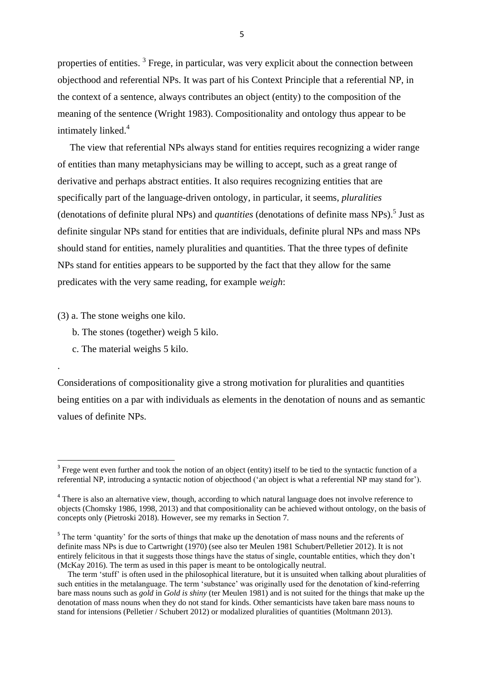properties of entities.<sup>3</sup> Frege, in particular, was very explicit about the connection between objecthood and referential NPs. It was part of his Context Principle that a referential NP, in the context of a sentence, always contributes an object (entity) to the composition of the meaning of the sentence (Wright 1983). Compositionality and ontology thus appear to be intimately linked.<sup>4</sup>

The view that referential NPs always stand for entities requires recognizing a wider range of entities than many metaphysicians may be willing to accept, such as a great range of derivative and perhaps abstract entities. It also requires recognizing entities that are specifically part of the language-driven ontology, in particular, it seems, *pluralities* (denotations of definite plural NPs) and *quantities* (denotations of definite mass NPs). 5 Just as definite singular NPs stand for entities that are individuals, definite plural NPs and mass NPs should stand for entities, namely pluralities and quantities. That the three types of definite NPs stand for entities appears to be supported by the fact that they allow for the same predicates with the very same reading, for example *weigh*:

(3) a. The stone weighs one kilo.

.

- b. The stones (together) weigh 5 kilo.
- c. The material weighs 5 kilo.

Considerations of compositionality give a strong motivation for pluralities and quantities being entities on a par with individuals as elements in the denotation of nouns and as semantic values of definite NPs.

<sup>&</sup>lt;sup>3</sup> Frege went even further and took the notion of an object (entity) itself to be tied to the syntactic function of a referential NP, introducing a syntactic notion of objecthood ('an object is what a referential NP may stand for').

<sup>&</sup>lt;sup>4</sup> There is also an alternative view, though, according to which natural language does not involve reference to objects (Chomsky 1986, 1998, 2013) and that compositionality can be achieved without ontology, on the basis of concepts only (Pietroski 2018). However, see my remarks in Section 7.

<sup>&</sup>lt;sup>5</sup> The term 'quantity' for the sorts of things that make up the denotation of mass nouns and the referents of definite mass NPs is due to Cartwright (1970) (see also ter Meulen 1981 Schubert/Pelletier 2012). It is not entirely felicitous in that it suggests those things have the status of single, countable entities, which they don't (McKay 2016). The term as used in this paper is meant to be ontologically neutral.

The term 'stuff' is often used in the philosophical literature, but it is unsuited when talking about pluralities of such entities in the metalanguage. The term 'substance' was originally used for the denotation of kind-referring bare mass nouns such as *gold* in *Gold is shiny* (ter Meulen 1981) and is not suited for the things that make up the denotation of mass nouns when they do not stand for kinds. Other semanticists have taken bare mass nouns to stand for intensions (Pelletier / Schubert 2012) or modalized pluralities of quantities (Moltmann 2013).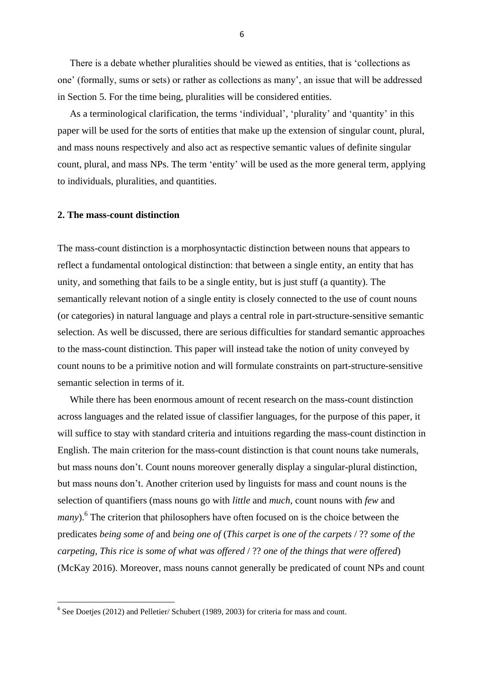There is a debate whether pluralities should be viewed as entities, that is 'collections as one' (formally, sums or sets) or rather as collections as many', an issue that will be addressed in Section 5. For the time being, pluralities will be considered entities.

 As a terminological clarification, the terms 'individual', 'plurality' and 'quantity' in this paper will be used for the sorts of entities that make up the extension of singular count, plural, and mass nouns respectively and also act as respective semantic values of definite singular count, plural, and mass NPs. The term 'entity' will be used as the more general term, applying to individuals, pluralities, and quantities.

#### **2. The mass-count distinction**

**.** 

The mass-count distinction is a morphosyntactic distinction between nouns that appears to reflect a fundamental ontological distinction: that between a single entity, an entity that has unity, and something that fails to be a single entity, but is just stuff (a quantity). The semantically relevant notion of a single entity is closely connected to the use of count nouns (or categories) in natural language and plays a central role in part-structure-sensitive semantic selection. As well be discussed, there are serious difficulties for standard semantic approaches to the mass-count distinction. This paper will instead take the notion of unity conveyed by count nouns to be a primitive notion and will formulate constraints on part-structure-sensitive semantic selection in terms of it.

 While there has been enormous amount of recent research on the mass-count distinction across languages and the related issue of classifier languages, for the purpose of this paper, it will suffice to stay with standard criteria and intuitions regarding the mass-count distinction in English. The main criterion for the mass-count distinction is that count nouns take numerals, but mass nouns don't. Count nouns moreover generally display a singular-plural distinction, but mass nouns don't. Another criterion used by linguists for mass and count nouns is the selection of quantifiers (mass nouns go with *little* and *much*, count nouns with *few* and many).<sup>6</sup> The criterion that philosophers have often focused on is the choice between the predicates *being some of* and *being one of* (*This carpet is one of the carpets* / ?? *some of the carpeting*, *This rice is some of what was offered* / ?? *one of the things that were offered*) (McKay 2016). Moreover, mass nouns cannot generally be predicated of count NPs and count

<sup>&</sup>lt;sup>6</sup> See Doetjes (2012) and Pelletier/ Schubert (1989, 2003) for criteria for mass and count.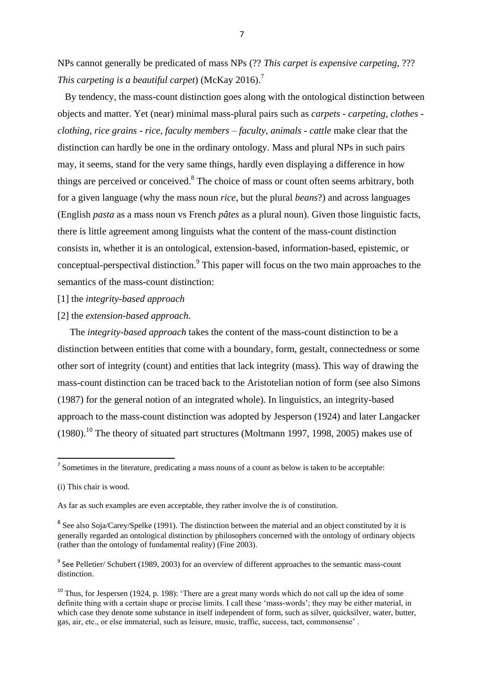NPs cannot generally be predicated of mass NPs (?? *This carpet is expensive carpeting*, ??? *This carpeting is a beautiful carpet*) (McKay 2016). 7

 By tendency, the mass-count distinction goes along with the ontological distinction between objects and matter. Yet (near) minimal mass-plural pairs such as *carpets - carpeting, clothes clothing, rice grains - rice, faculty members – faculty, animals - cattle* make clear that the distinction can hardly be one in the ordinary ontology. Mass and plural NPs in such pairs may, it seems, stand for the very same things, hardly even displaying a difference in how things are perceived or conceived.<sup>8</sup> The choice of mass or count often seems arbitrary, both for a given language (why the mass noun *rice*, but the plural *beans*?) and across languages (English *pasta* as a mass noun vs French *pâtes* as a plural noun). Given those linguistic facts, there is little agreement among linguists what the content of the mass-count distinction consists in, whether it is an ontological, extension-based, information-based, epistemic, or conceptual-perspectival distinction.<sup>9</sup> This paper will focus on the two main approaches to the semantics of the mass-count distinction:

- [1] the *integrity-based approach*
- [2] the *extension-based approach*.

 The *integrity-based approach* takes the content of the mass-count distinction to be a distinction between entities that come with a boundary, form, gestalt, connectedness or some other sort of integrity (count) and entities that lack integrity (mass). This way of drawing the mass-count distinction can be traced back to the Aristotelian notion of form (see also Simons (1987) for the general notion of an integrated whole). In linguistics, an integrity-based approach to the mass-count distinction was adopted by Jesperson (1924) and later Langacker  $(1980).$ <sup>10</sup> The theory of situated part structures (Moltmann 1997, 1998, 2005) makes use of

**.** 

 $<sup>7</sup>$  Sometimes in the literature, predicating a mass nouns of a count as below is taken to be acceptable:</sup>

<sup>(</sup>i) This chair is wood.

As far as such examples are even acceptable, they rather involve the *is* of constitution.

<sup>&</sup>lt;sup>8</sup> See also Soja/Carey/Spelke (1991). The distinction between the material and an object constituted by it is generally regarded an ontological distinction by philosophers concerned with the ontology of ordinary objects (rather than the ontology of fundamental reality) (Fine 2003).

<sup>&</sup>lt;sup>9</sup> See Pelletier/ Schubert (1989, 2003) for an overview of different approaches to the semantic mass-count distinction.

<sup>&</sup>lt;sup>10</sup> Thus, for Jespersen (1924, p. 198): 'There are a great many words which do not call up the idea of some definite thing with a certain shape or precise limits. I call these 'mass-words'; they may be either material, in which case they denote some substance in itself independent of form, such as silver, quicksilver, water, butter, gas, air, etc., or else immaterial, such as leisure, music, traffic, success, tact, commonsense' .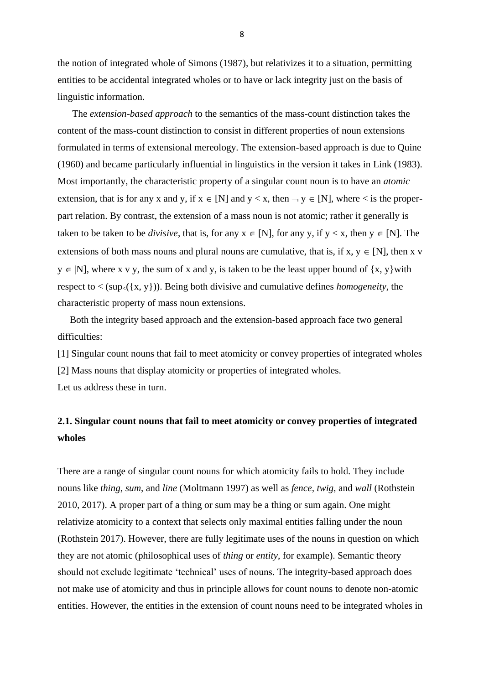the notion of integrated whole of Simons (1987), but relativizes it to a situation, permitting entities to be accidental integrated wholes or to have or lack integrity just on the basis of linguistic information.

 The *extension-based approach* to the semantics of the mass-count distinction takes the content of the mass-count distinction to consist in different properties of noun extensions formulated in terms of extensional mereology. The extension-based approach is due to Quine (1960) and became particularly influential in linguistics in the version it takes in Link (1983). Most importantly, the characteristic property of a singular count noun is to have an *atomic* extension, that is for any x and y, if  $x \in [N]$  and  $y \lt x$ , then  $\neg y \in [N]$ , where  $\lt$  is the properpart relation. By contrast, the extension of a mass noun is not atomic; rather it generally is taken to be taken to be *divisive*, that is, for any  $x \in [N]$ , for any y, if  $y < x$ , then  $y \in [N]$ . The extensions of both mass nouns and plural nouns are cumulative, that is, if  $x, y \in [N]$ , then x v  $y \in [N]$ , where x v y, the sum of x and y, is taken to be the least upper bound of  $\{x, y\}$  with respect to  $\langle$  (sup<sub> $\langle$ </sub>{{x, y})). Being both divisive and cumulative defines *homogeneity*, the characteristic property of mass noun extensions.

 Both the integrity based approach and the extension-based approach face two general difficulties:

[1] Singular count nouns that fail to meet atomicity or convey properties of integrated wholes [2] Mass nouns that display atomicity or properties of integrated wholes. Let us address these in turn.

# **2.1. Singular count nouns that fail to meet atomicity or convey properties of integrated wholes**

There are a range of singular count nouns for which atomicity fails to hold. They include nouns like *thing, sum*, and *line* (Moltmann 1997) as well as *fence, twig,* and *wall* (Rothstein 2010, 2017). A proper part of a thing or sum may be a thing or sum again. One might relativize atomicity to a context that selects only maximal entities falling under the noun (Rothstein 2017). However, there are fully legitimate uses of the nouns in question on which they are not atomic (philosophical uses of *thing* or *entity*, for example). Semantic theory should not exclude legitimate 'technical' uses of nouns. The integrity-based approach does not make use of atomicity and thus in principle allows for count nouns to denote non-atomic entities. However, the entities in the extension of count nouns need to be integrated wholes in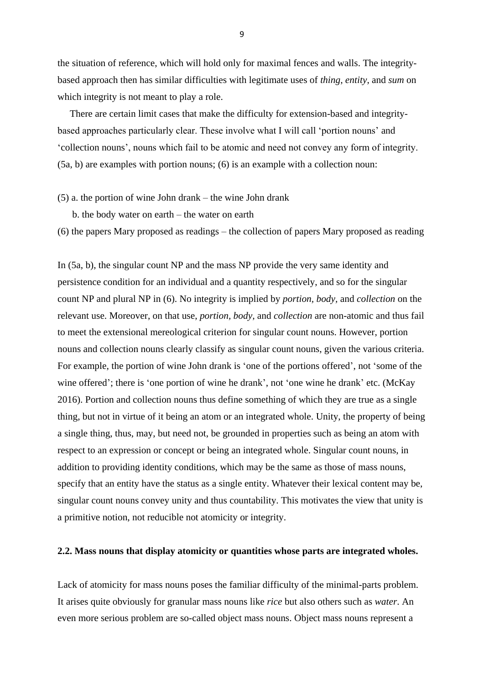the situation of reference, which will hold only for maximal fences and walls. The integritybased approach then has similar difficulties with legitimate uses of *thing*, *entity*, and *sum* on which integrity is not meant to play a role.

 There are certain limit cases that make the difficulty for extension-based and integritybased approaches particularly clear. These involve what I will call 'portion nouns' and 'collection nouns', nouns which fail to be atomic and need not convey any form of integrity. (5a, b) are examples with portion nouns; (6) is an example with a collection noun:

- (5) a. the portion of wine John drank the wine John drank
	- b. the body water on earth the water on earth
- (6) the papers Mary proposed as readings the collection of papers Mary proposed as reading

In (5a, b), the singular count NP and the mass NP provide the very same identity and persistence condition for an individual and a quantity respectively, and so for the singular count NP and plural NP in (6). No integrity is implied by *portion, body,* and *collection* on the relevant use. Moreover, on that use, *portion, body,* and *collection* are non-atomic and thus fail to meet the extensional mereological criterion for singular count nouns. However, portion nouns and collection nouns clearly classify as singular count nouns, given the various criteria. For example, the portion of wine John drank is 'one of the portions offered', not 'some of the wine offered'; there is 'one portion of wine he drank', not 'one wine he drank' etc. (McKay 2016). Portion and collection nouns thus define something of which they are true as a single thing, but not in virtue of it being an atom or an integrated whole. Unity, the property of being a single thing, thus, may, but need not, be grounded in properties such as being an atom with respect to an expression or concept or being an integrated whole. Singular count nouns, in addition to providing identity conditions, which may be the same as those of mass nouns, specify that an entity have the status as a single entity. Whatever their lexical content may be, singular count nouns convey unity and thus countability. This motivates the view that unity is a primitive notion, not reducible not atomicity or integrity.

#### **2.2. Mass nouns that display atomicity or quantities whose parts are integrated wholes.**

Lack of atomicity for mass nouns poses the familiar difficulty of the minimal-parts problem. It arises quite obviously for granular mass nouns like *rice* but also others such as *water*. An even more serious problem are so-called object mass nouns. Object mass nouns represent a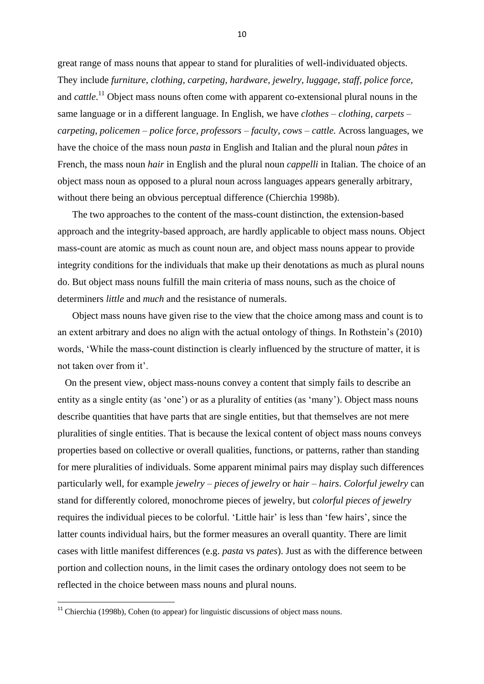great range of mass nouns that appear to stand for pluralities of well-individuated objects. They include *furniture*, *clothing, carpeting, hardware, jewelry, luggage, staff*, *police force,*  and *cattle*.<sup>11</sup> Object mass nouns often come with apparent co-extensional plural nouns in the same language or in a different language. In English, we have *clothes – clothing, carpets – carpeting*, *policemen – police force, professors – faculty, cows – cattle.* Across languages, we have the choice of the mass noun *pasta* in English and Italian and the plural noun *pâtes* in French, the mass noun *hair* in English and the plural noun *cappelli* in Italian. The choice of an object mass noun as opposed to a plural noun across languages appears generally arbitrary, without there being an obvious perceptual difference (Chierchia 1998b).

 The two approaches to the content of the mass-count distinction, the extension-based approach and the integrity-based approach, are hardly applicable to object mass nouns. Object mass-count are atomic as much as count noun are, and object mass nouns appear to provide integrity conditions for the individuals that make up their denotations as much as plural nouns do. But object mass nouns fulfill the main criteria of mass nouns, such as the choice of determiners *little* and *much* and the resistance of numerals.

 Object mass nouns have given rise to the view that the choice among mass and count is to an extent arbitrary and does no align with the actual ontology of things. In Rothstein's (2010) words, 'While the mass-count distinction is clearly influenced by the structure of matter, it is not taken over from it'.

 On the present view, object mass-nouns convey a content that simply fails to describe an entity as a single entity (as 'one') or as a plurality of entities (as 'many'). Object mass nouns describe quantities that have parts that are single entities, but that themselves are not mere pluralities of single entities. That is because the lexical content of object mass nouns conveys properties based on collective or overall qualities, functions, or patterns, rather than standing for mere pluralities of individuals. Some apparent minimal pairs may display such differences particularly well, for example *jewelry – pieces of jewelry* or *hair – hairs*. *Colorful jewelry* can stand for differently colored, monochrome pieces of jewelry, but *colorful pieces of jewelry*  requires the individual pieces to be colorful. 'Little hair' is less than 'few hairs', since the latter counts individual hairs, but the former measures an overall quantity. There are limit cases with little manifest differences (e.g. *pasta* vs *pates*). Just as with the difference between portion and collection nouns, in the limit cases the ordinary ontology does not seem to be reflected in the choice between mass nouns and plural nouns.

**.** 

 $11$  Chierchia (1998b), Cohen (to appear) for linguistic discussions of object mass nouns.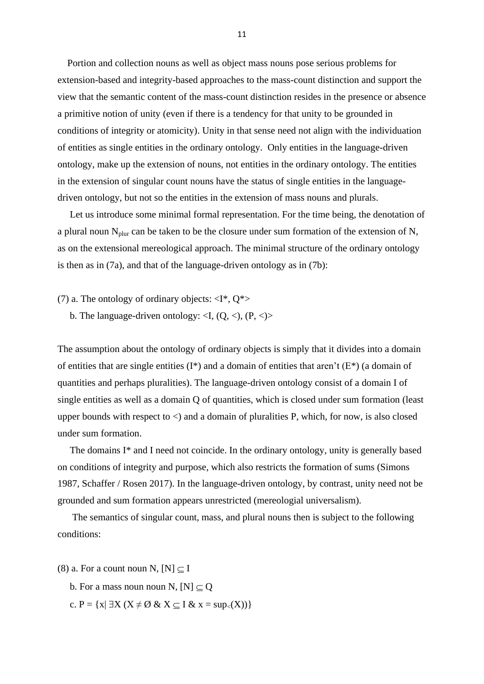Portion and collection nouns as well as object mass nouns pose serious problems for extension-based and integrity-based approaches to the mass-count distinction and support the view that the semantic content of the mass-count distinction resides in the presence or absence a primitive notion of unity (even if there is a tendency for that unity to be grounded in conditions of integrity or atomicity). Unity in that sense need not align with the individuation of entities as single entities in the ordinary ontology. Only entities in the language-driven ontology, make up the extension of nouns, not entities in the ordinary ontology. The entities in the extension of singular count nouns have the status of single entities in the languagedriven ontology, but not so the entities in the extension of mass nouns and plurals.

 Let us introduce some minimal formal representation. For the time being, the denotation of a plural noun  $N_{\text{plur}}$  can be taken to be the closure under sum formation of the extension of N, as on the extensional mereological approach. The minimal structure of the ordinary ontology is then as in (7a), and that of the language-driven ontology as in (7b):

(7) a. The ontology of ordinary objects:  $\langle I^*, O^* \rangle$ 

b. The language-driven ontology:  $\langle I, (Q, \langle), (P, \langle) \rangle \rangle$ 

The assumption about the ontology of ordinary objects is simply that it divides into a domain of entities that are single entities  $(I^*)$  and a domain of entities that aren't  $(E^*)$  (a domain of quantities and perhaps pluralities). The language-driven ontology consist of a domain I of single entities as well as a domain Q of quantities, which is closed under sum formation (least upper bounds with respect to  $\lt$ ) and a domain of pluralities P, which, for now, is also closed under sum formation.

 The domains I\* and I need not coincide. In the ordinary ontology, unity is generally based on conditions of integrity and purpose, which also restricts the formation of sums (Simons 1987, Schaffer / Rosen 2017). In the language-driven ontology, by contrast, unity need not be grounded and sum formation appears unrestricted (mereologial universalism).

 The semantics of singular count, mass, and plural nouns then is subject to the following conditions:

- (8) a. For a count noun N,  $[N] \subseteq I$ 
	- b. For a mass noun noun N,  $[N] \subseteq Q$
	- c.  $P = \{x | \exists X (X \neq \emptyset \& X \subseteq I \& x = \sup_{\leq}(X))\}$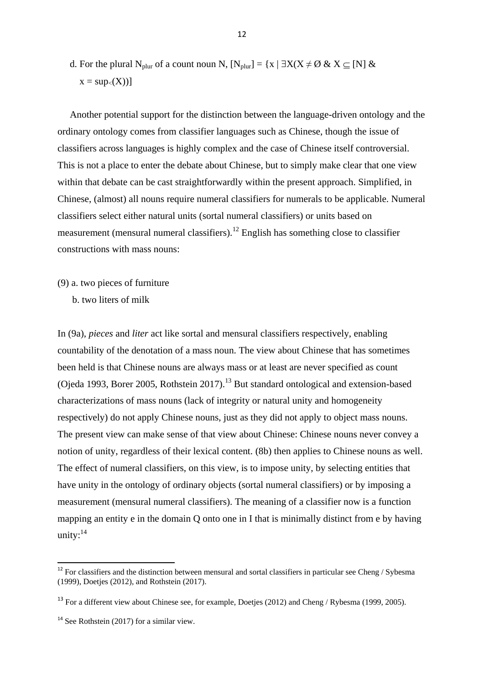d. For the plural N<sub>plur</sub> of a count noun N,  $[N_{\text{plur}}] = \{x \mid \exists X(X \neq \emptyset \& X \subseteq [N] \&$  $x = \sup_{\leq}(X))$ 

 Another potential support for the distinction between the language-driven ontology and the ordinary ontology comes from classifier languages such as Chinese, though the issue of classifiers across languages is highly complex and the case of Chinese itself controversial. This is not a place to enter the debate about Chinese, but to simply make clear that one view within that debate can be cast straightforwardly within the present approach. Simplified, in Chinese, (almost) all nouns require numeral classifiers for numerals to be applicable. Numeral classifiers select either natural units (sortal numeral classifiers) or units based on measurement (mensural numeral classifiers).<sup>12</sup> English has something close to classifier constructions with mass nouns:

- (9) a. two pieces of furniture
	- b. two liters of milk

In (9a), *pieces* and *liter* act like sortal and mensural classifiers respectively, enabling countability of the denotation of a mass noun. The view about Chinese that has sometimes been held is that Chinese nouns are always mass or at least are never specified as count (Ojeda 1993, Borer 2005, Rothstein 2017).<sup>13</sup> But standard ontological and extension-based characterizations of mass nouns (lack of integrity or natural unity and homogeneity respectively) do not apply Chinese nouns, just as they did not apply to object mass nouns. The present view can make sense of that view about Chinese: Chinese nouns never convey a notion of unity, regardless of their lexical content. (8b) then applies to Chinese nouns as well. The effect of numeral classifiers, on this view, is to impose unity, by selecting entities that have unity in the ontology of ordinary objects (sortal numeral classifiers) or by imposing a measurement (mensural numeral classifiers). The meaning of a classifier now is a function mapping an entity e in the domain Q onto one in I that is minimally distinct from e by having unity:<sup>14</sup>

**.** 

 $12$  For classifiers and the distinction between mensural and sortal classifiers in particular see Cheng / Sybesma (1999), Doetjes (2012), and Rothstein (2017).

<sup>&</sup>lt;sup>13</sup> For a different view about Chinese see, for example, Doetjes (2012) and Cheng / Rybesma (1999, 2005).

 $14$  See Rothstein (2017) for a similar view.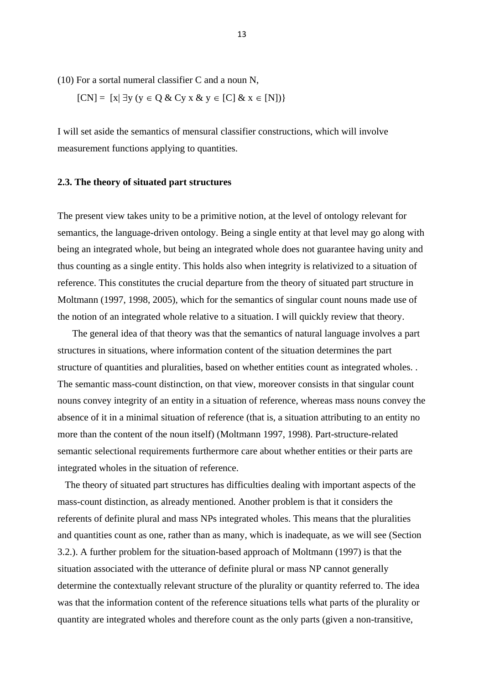(10) For a sortal numeral classifier C and a noun N,

$$
[CN] = [x] \exists y (y \in Q \& Cy x \& y \in [C] \& x \in [N])\}
$$

I will set aside the semantics of mensural classifier constructions, which will involve measurement functions applying to quantities.

#### **2.3. The theory of situated part structures**

The present view takes unity to be a primitive notion, at the level of ontology relevant for semantics, the language-driven ontology. Being a single entity at that level may go along with being an integrated whole, but being an integrated whole does not guarantee having unity and thus counting as a single entity. This holds also when integrity is relativized to a situation of reference. This constitutes the crucial departure from the theory of situated part structure in Moltmann (1997, 1998, 2005), which for the semantics of singular count nouns made use of the notion of an integrated whole relative to a situation. I will quickly review that theory.

 The general idea of that theory was that the semantics of natural language involves a part structures in situations, where information content of the situation determines the part structure of quantities and pluralities, based on whether entities count as integrated wholes. . The semantic mass-count distinction, on that view, moreover consists in that singular count nouns convey integrity of an entity in a situation of reference, whereas mass nouns convey the absence of it in a minimal situation of reference (that is, a situation attributing to an entity no more than the content of the noun itself) (Moltmann 1997, 1998). Part-structure-related semantic selectional requirements furthermore care about whether entities or their parts are integrated wholes in the situation of reference.

 The theory of situated part structures has difficulties dealing with important aspects of the mass-count distinction, as already mentioned. Another problem is that it considers the referents of definite plural and mass NPs integrated wholes. This means that the pluralities and quantities count as one, rather than as many, which is inadequate, as we will see (Section 3.2.). A further problem for the situation-based approach of Moltmann (1997) is that the situation associated with the utterance of definite plural or mass NP cannot generally determine the contextually relevant structure of the plurality or quantity referred to. The idea was that the information content of the reference situations tells what parts of the plurality or quantity are integrated wholes and therefore count as the only parts (given a non-transitive,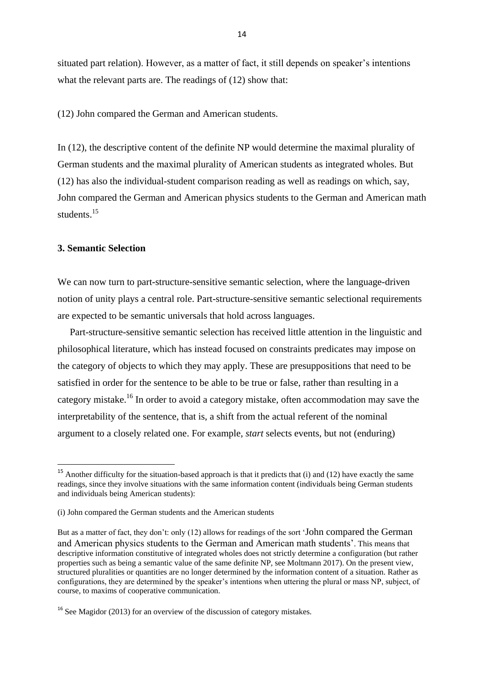situated part relation). However, as a matter of fact, it still depends on speaker's intentions what the relevant parts are. The readings of (12) show that:

(12) John compared the German and American students.

In (12), the descriptive content of the definite NP would determine the maximal plurality of German students and the maximal plurality of American students as integrated wholes. But (12) has also the individual-student comparison reading as well as readings on which, say, John compared the German and American physics students to the German and American math students. 15

# **3. Semantic Selection**

**.** 

We can now turn to part-structure-sensitive semantic selection, where the language-driven notion of unity plays a central role. Part-structure-sensitive semantic selectional requirements are expected to be semantic universals that hold across languages.

 Part-structure-sensitive semantic selection has received little attention in the linguistic and philosophical literature, which has instead focused on constraints predicates may impose on the category of objects to which they may apply. These are presuppositions that need to be satisfied in order for the sentence to be able to be true or false, rather than resulting in a category mistake.<sup>16</sup> In order to avoid a category mistake, often accommodation may save the interpretability of the sentence, that is, a shift from the actual referent of the nominal argument to a closely related one. For example, *start* selects events, but not (enduring)

<sup>&</sup>lt;sup>15</sup> Another difficulty for the situation-based approach is that it predicts that (i) and (12) have exactly the same readings, since they involve situations with the same information content (individuals being German students and individuals being American students):

<sup>(</sup>i) John compared the German students and the American students

But as a matter of fact, they don't: only (12) allows for readings of the sort 'John compared the German and American physics students to the German and American math students'. This means that descriptive information constitutive of integrated wholes does not strictly determine a configuration (but rather properties such as being a semantic value of the same definite NP, see Moltmann 2017). On the present view, structured pluralities or quantities are no longer determined by the information content of a situation. Rather as configurations, they are determined by the speaker's intentions when uttering the plural or mass NP, subject, of course, to maxims of cooperative communication.

<sup>&</sup>lt;sup>16</sup> See Magidor (2013) for an overview of the discussion of category mistakes.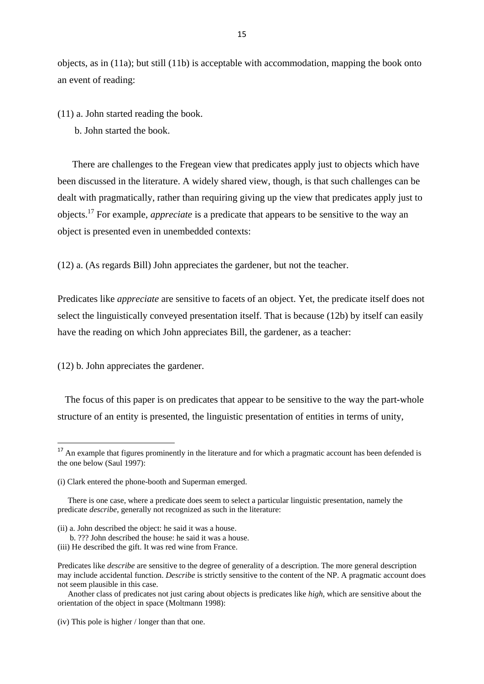objects, as in (11a); but still (11b) is acceptable with accommodation, mapping the book onto an event of reading:

(11) a. John started reading the book.

b. John started the book.

 There are challenges to the Fregean view that predicates apply just to objects which have been discussed in the literature. A widely shared view, though, is that such challenges can be dealt with pragmatically, rather than requiring giving up the view that predicates apply just to objects.<sup>17</sup> For example, *appreciate* is a predicate that appears to be sensitive to the way an object is presented even in unembedded contexts:

(12) a. (As regards Bill) John appreciates the gardener, but not the teacher.

Predicates like *appreciate* are sensitive to facets of an object. Yet, the predicate itself does not select the linguistically conveyed presentation itself. That is because (12b) by itself can easily have the reading on which John appreciates Bill, the gardener, as a teacher:

(12) b. John appreciates the gardener.

**.** 

 The focus of this paper is on predicates that appear to be sensitive to the way the part-whole structure of an entity is presented, the linguistic presentation of entities in terms of unity,

<sup>&</sup>lt;sup>17</sup> An example that figures prominently in the literature and for which a pragmatic account has been defended is the one below (Saul 1997):

<sup>(</sup>i) Clark entered the phone-booth and Superman emerged.

There is one case, where a predicate does seem to select a particular linguistic presentation, namely the predicate *describe*, generally not recognized as such in the literature:

<sup>(</sup>ii) a. John described the object: he said it was a house.

b. ??? John described the house: he said it was a house.

<sup>(</sup>iii) He described the gift. It was red wine from France.

Predicates like *describe* are sensitive to the degree of generality of a description. The more general description may include accidental function. *Describe* is strictly sensitive to the content of the NP. A pragmatic account does not seem plausible in this case.

Another class of predicates not just caring about objects is predicates like *high*, which are sensitive about the orientation of the object in space (Moltmann 1998):

<sup>(</sup>iv) This pole is higher / longer than that one.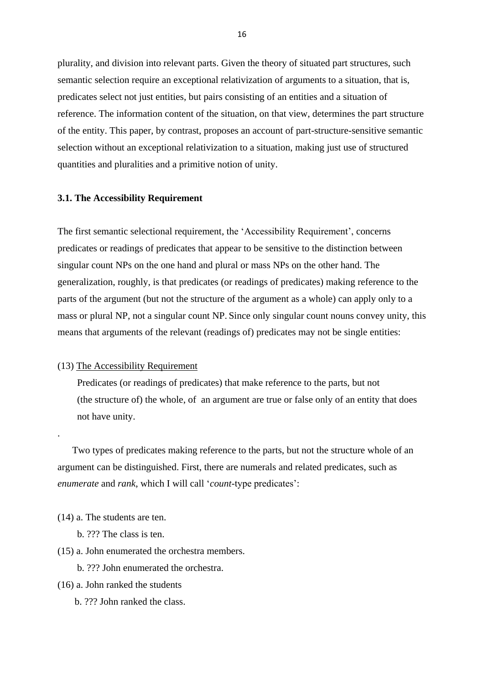plurality, and division into relevant parts. Given the theory of situated part structures, such semantic selection require an exceptional relativization of arguments to a situation, that is, predicates select not just entities, but pairs consisting of an entities and a situation of reference. The information content of the situation, on that view, determines the part structure of the entity. This paper, by contrast, proposes an account of part-structure-sensitive semantic selection without an exceptional relativization to a situation, making just use of structured quantities and pluralities and a primitive notion of unity.

### **3.1. The Accessibility Requirement**

The first semantic selectional requirement, the 'Accessibility Requirement', concerns predicates or readings of predicates that appear to be sensitive to the distinction between singular count NPs on the one hand and plural or mass NPs on the other hand. The generalization, roughly, is that predicates (or readings of predicates) making reference to the parts of the argument (but not the structure of the argument as a whole) can apply only to a mass or plural NP, not a singular count NP. Since only singular count nouns convey unity, this means that arguments of the relevant (readings of) predicates may not be single entities:

# (13) The Accessibility Requirement

 Predicates (or readings of predicates) that make reference to the parts, but not (the structure of) the whole, of an argument are true or false only of an entity that does not have unity.

 Two types of predicates making reference to the parts, but not the structure whole of an argument can be distinguished. First, there are numerals and related predicates, such as *enumerate* and *rank*, which I will call '*count*-type predicates':

(14) a. The students are ten.

.

- b. ??? The class is ten.
- (15) a. John enumerated the orchestra members.
	- b. ??? John enumerated the orchestra.
- (16) a. John ranked the students
	- b. ??? John ranked the class.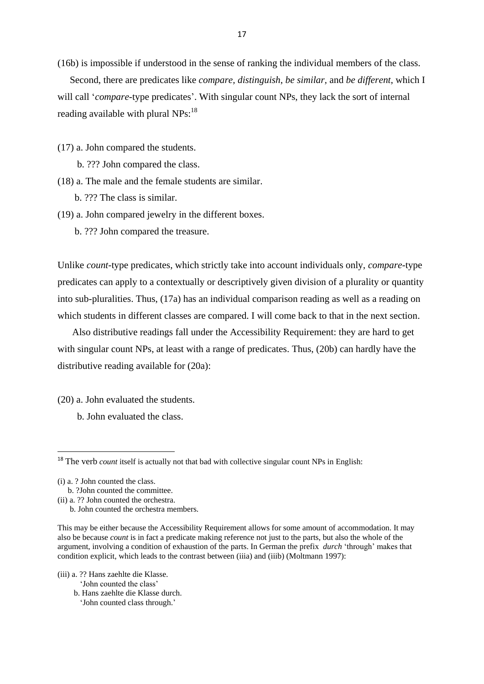(16b) is impossible if understood in the sense of ranking the individual members of the class.

 Second, there are predicates like *compare, distinguish*, *be similar,* and *be different*, which I will call '*compare*-type predicates'. With singular count NPs, they lack the sort of internal reading available with plural  $NPs:^{18}$ 

(17) a. John compared the students.

b. ??? John compared the class.

(18) a. The male and the female students are similar.

b. ??? The class is similar.

(19) a. John compared jewelry in the different boxes.

b. ??? John compared the treasure.

Unlike *count*-type predicates, which strictly take into account individuals only, *compare*-type predicates can apply to a contextually or descriptively given division of a plurality or quantity into sub-pluralities. Thus, (17a) has an individual comparison reading as well as a reading on which students in different classes are compared. I will come back to that in the next section.

 Also distributive readings fall under the Accessibility Requirement: they are hard to get with singular count NPs, at least with a range of predicates. Thus, (20b) can hardly have the distributive reading available for (20a):

(20) a. John evaluated the students.

b. John evaluated the class.

1

- (iii) a. ?? Hans zaehlte die Klasse.
	- 'John counted the class'
	- b. Hans zaehlte die Klasse durch.

'John counted class through.'

<sup>&</sup>lt;sup>18</sup> The verb *count* itself is actually not that bad with collective singular count NPs in English:

<sup>(</sup>i) a. ? John counted the class.

b. ?John counted the committee.

<sup>(</sup>ii) a. ?? John counted the orchestra.

b. John counted the orchestra members.

This may be either because the Accessibility Requirement allows for some amount of accommodation. It may also be because *count* is in fact a predicate making reference not just to the parts, but also the whole of the argument, involving a condition of exhaustion of the parts. In German the prefix *durch* 'through' makes that condition explicit, which leads to the contrast between (iiia) and (iiib) (Moltmann 1997):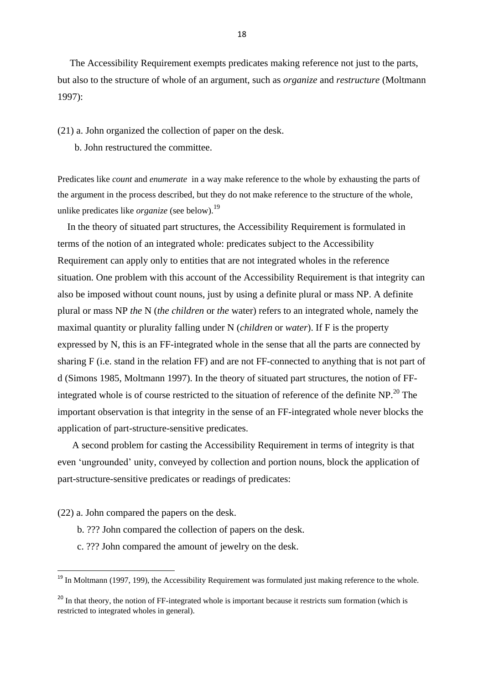The Accessibility Requirement exempts predicates making reference not just to the parts, but also to the structure of whole of an argument, such as *organize* and *restructure* (Moltmann 1997):

(21) a. John organized the collection of paper on the desk.

b. John restructured the committee.

Predicates like *count* and *enumerate* in a way make reference to the whole by exhausting the parts of the argument in the process described, but they do not make reference to the structure of the whole, unlike predicates like *organize* (see below).<sup>19</sup>

 In the theory of situated part structures, the Accessibility Requirement is formulated in terms of the notion of an integrated whole: predicates subject to the Accessibility Requirement can apply only to entities that are not integrated wholes in the reference situation. One problem with this account of the Accessibility Requirement is that integrity can also be imposed without count nouns, just by using a definite plural or mass NP. A definite plural or mass NP *the* N (*the children* or *the* water) refers to an integrated whole, namely the maximal quantity or plurality falling under N (*children* or *water*). If F is the property expressed by N, this is an FF-integrated whole in the sense that all the parts are connected by sharing F (i.e. stand in the relation FF) and are not FF-connected to anything that is not part of d (Simons 1985, Moltmann 1997). In the theory of situated part structures, the notion of FFintegrated whole is of course restricted to the situation of reference of the definite NP.<sup>20</sup> The important observation is that integrity in the sense of an FF-integrated whole never blocks the application of part-structure-sensitive predicates.

 A second problem for casting the Accessibility Requirement in terms of integrity is that even 'ungrounded' unity, conveyed by collection and portion nouns, block the application of part-structure-sensitive predicates or readings of predicates:

(22) a. John compared the papers on the desk.

- b. ??? John compared the collection of papers on the desk.
- c. ??? John compared the amount of jewelry on the desk.

<sup>&</sup>lt;sup>19</sup> In Moltmann (1997, 199), the Accessibility Requirement was formulated just making reference to the whole.

<sup>&</sup>lt;sup>20</sup> In that theory, the notion of FF-integrated whole is important because it restricts sum formation (which is restricted to integrated wholes in general).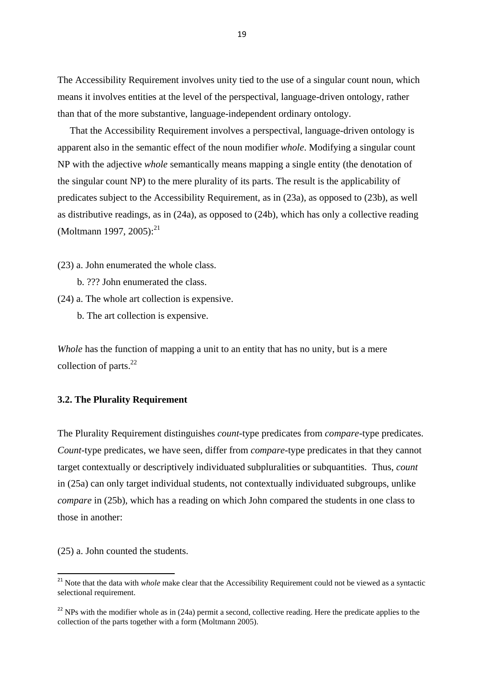The Accessibility Requirement involves unity tied to the use of a singular count noun, which means it involves entities at the level of the perspectival, language-driven ontology, rather than that of the more substantive, language-independent ordinary ontology.

 That the Accessibility Requirement involves a perspectival, language-driven ontology is apparent also in the semantic effect of the noun modifier *whole*. Modifying a singular count NP with the adjective *whole* semantically means mapping a single entity (the denotation of the singular count NP) to the mere plurality of its parts. The result is the applicability of predicates subject to the Accessibility Requirement, as in (23a), as opposed to (23b), as well as distributive readings, as in (24a), as opposed to (24b), which has only a collective reading (Moltmann 1997, 2005):<sup>21</sup>

(23) a. John enumerated the whole class.

- b. ??? John enumerated the class.
- (24) a. The whole art collection is expensive.
	- b. The art collection is expensive.

*Whole* has the function of mapping a unit to an entity that has no unity, but is a mere collection of parts.<sup>22</sup>

# **3.2. The Plurality Requirement**

The Plurality Requirement distinguishes *count*-type predicates from *compare*-type predicates. *Count*-type predicates, we have seen, differ from *compare*-type predicates in that they cannot target contextually or descriptively individuated subpluralities or subquantities. Thus, *count* in (25a) can only target individual students, not contextually individuated subgroups, unlike *compare* in (25b), which has a reading on which John compared the students in one class to those in another:

(25) a. John counted the students.

**.** 

<sup>&</sup>lt;sup>21</sup> Note that the data with *whole* make clear that the Accessibility Requirement could not be viewed as a syntactic selectional requirement.

 $22$  NPs with the modifier whole as in (24a) permit a second, collective reading. Here the predicate applies to the collection of the parts together with a form (Moltmann 2005).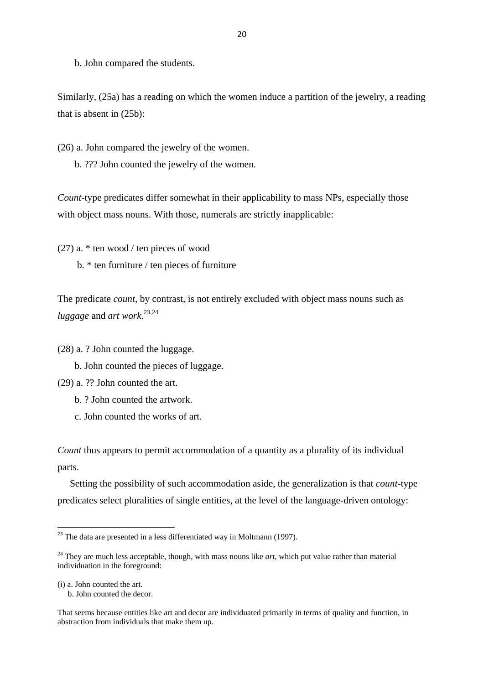b. John compared the students.

Similarly, (25a) has a reading on which the women induce a partition of the jewelry, a reading that is absent in (25b):

(26) a. John compared the jewelry of the women.

b. ??? John counted the jewelry of the women.

*Count*-type predicates differ somewhat in their applicability to mass NPs, especially those with object mass nouns. With those, numerals are strictly inapplicable:

(27) a. \* ten wood / ten pieces of wood b. \* ten furniture / ten pieces of furniture

The predicate *count*, by contrast, is not entirely excluded with object mass nouns such as *luggage* and *art work*. 23,24

(28) a. ? John counted the luggage.

b. John counted the pieces of luggage.

(29) a. ?? John counted the art.

b. ? John counted the artwork.

c. John counted the works of art.

*Count* thus appears to permit accommodation of a quantity as a plurality of its individual parts.

 Setting the possibility of such accommodation aside, the generalization is that *count*-type predicates select pluralities of single entities, at the level of the language-driven ontology:

(i) a. John counted the art.

**.** 

b. John counted the decor.

 $^{23}$  The data are presented in a less differentiated way in Moltmann (1997).

<sup>&</sup>lt;sup>24</sup> They are much less acceptable, though, with mass nouns like *art*, which put value rather than material individuation in the foreground:

That seems because entities like art and decor are individuated primarily in terms of quality and function, in abstraction from individuals that make them up.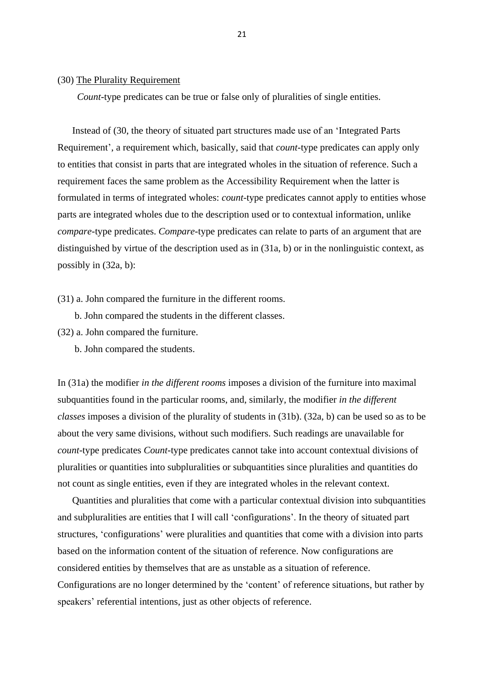#### (30) The Plurality Requirement

*Count*-type predicates can be true or false only of pluralities of single entities.

 Instead of (30, the theory of situated part structures made use of an 'Integrated Parts Requirement', a requirement which, basically, said that *count*-type predicates can apply only to entities that consist in parts that are integrated wholes in the situation of reference. Such a requirement faces the same problem as the Accessibility Requirement when the latter is formulated in terms of integrated wholes: *count-*type predicates cannot apply to entities whose parts are integrated wholes due to the description used or to contextual information, unlike *compare*-type predicates. *Compare*-type predicates can relate to parts of an argument that are distinguished by virtue of the description used as in (31a, b) or in the nonlinguistic context, as possibly in (32a, b):

(31) a. John compared the furniture in the different rooms.

b. John compared the students in the different classes.

(32) a. John compared the furniture.

b. John compared the students.

In (31a) the modifier *in the different rooms* imposes a division of the furniture into maximal subquantities found in the particular rooms, and, similarly, the modifier *in the different classes* imposes a division of the plurality of students in (31b). (32a, b) can be used so as to be about the very same divisions, without such modifiers. Such readings are unavailable for *count*-type predicates *Count*-type predicates cannot take into account contextual divisions of pluralities or quantities into subpluralities or subquantities since pluralities and quantities do not count as single entities, even if they are integrated wholes in the relevant context.

 Quantities and pluralities that come with a particular contextual division into subquantities and subpluralities are entities that I will call 'configurations'. In the theory of situated part structures, 'configurations' were pluralities and quantities that come with a division into parts based on the information content of the situation of reference. Now configurations are considered entities by themselves that are as unstable as a situation of reference. Configurations are no longer determined by the 'content' of reference situations, but rather by speakers' referential intentions, just as other objects of reference.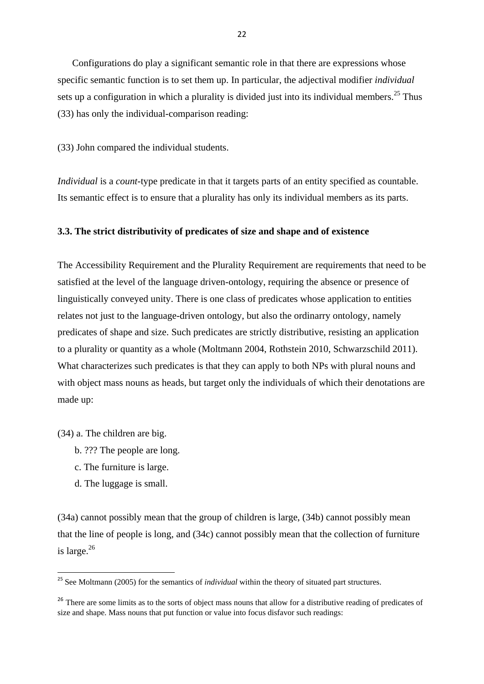Configurations do play a significant semantic role in that there are expressions whose specific semantic function is to set them up. In particular, the adjectival modifier *individual*  sets up a configuration in which a plurality is divided just into its individual members.<sup>25</sup> Thus (33) has only the individual-comparison reading:

(33) John compared the individual students.

*Individual* is a *count*-type predicate in that it targets parts of an entity specified as countable. Its semantic effect is to ensure that a plurality has only its individual members as its parts.

#### **3.3. The strict distributivity of predicates of size and shape and of existence**

The Accessibility Requirement and the Plurality Requirement are requirements that need to be satisfied at the level of the language driven-ontology, requiring the absence or presence of linguistically conveyed unity. There is one class of predicates whose application to entities relates not just to the language-driven ontology, but also the ordinarry ontology, namely predicates of shape and size. Such predicates are strictly distributive, resisting an application to a plurality or quantity as a whole (Moltmann 2004, Rothstein 2010, Schwarzschild 2011). What characterizes such predicates is that they can apply to both NPs with plural nouns and with object mass nouns as heads, but target only the individuals of which their denotations are made up:

(34) a. The children are big.

- b. ??? The people are long.
- c. The furniture is large.
- d. The luggage is small.

1

(34a) cannot possibly mean that the group of children is large, (34b) cannot possibly mean that the line of people is long, and (34c) cannot possibly mean that the collection of furniture is large. $^{26}$ 

<sup>&</sup>lt;sup>25</sup> See Moltmann (2005) for the semantics of *individual* within the theory of situated part structures.

<sup>&</sup>lt;sup>26</sup> There are some limits as to the sorts of object mass nouns that allow for a distributive reading of predicates of size and shape. Mass nouns that put function or value into focus disfavor such readings: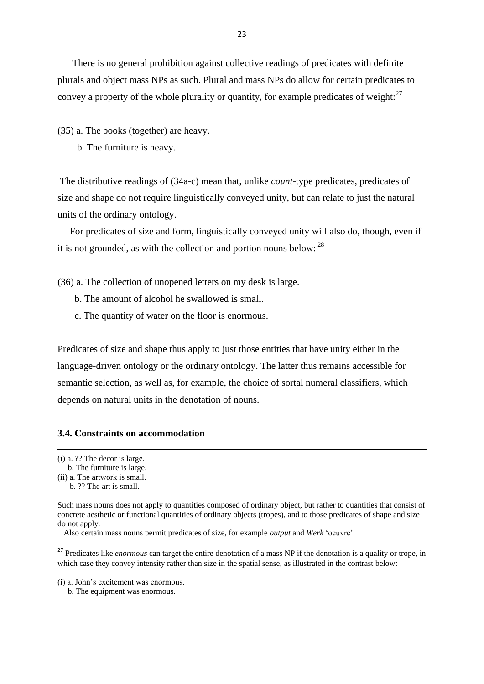There is no general prohibition against collective readings of predicates with definite plurals and object mass NPs as such. Plural and mass NPs do allow for certain predicates to convey a property of the whole plurality or quantity, for example predicates of weight:  $27$ 

(35) a. The books (together) are heavy.

b. The furniture is heavy.

The distributive readings of (34a-c) mean that, unlike *count*-type predicates, predicates of size and shape do not require linguistically conveyed unity, but can relate to just the natural units of the ordinary ontology.

 For predicates of size and form, linguistically conveyed unity will also do, though, even if it is not grounded, as with the collection and portion nouns below:  $^{28}$ 

(36) a. The collection of unopened letters on my desk is large.

- b. The amount of alcohol he swallowed is small.
- c. The quantity of water on the floor is enormous.

Predicates of size and shape thus apply to just those entities that have unity either in the language-driven ontology or the ordinary ontology. The latter thus remains accessible for semantic selection, as well as, for example, the choice of sortal numeral classifiers, which depends on natural units in the denotation of nouns.

# **3.4. Constraints on accommodation**

**.** 

<sup>27</sup> Predicates like *enormous* can target the entire denotation of a mass NP if the denotation is a quality or trope, in which case they convey intensity rather than size in the spatial sense, as illustrated in the contrast below:

(i) a. John's excitement was enormous.

b. The equipment was enormous.

<sup>(</sup>i) a. ?? The decor is large.

b. The furniture is large.

<sup>(</sup>ii) a. The artwork is small. b. ?? The art is small.

Such mass nouns does not apply to quantities composed of ordinary object, but rather to quantities that consist of concrete aesthetic or functional quantities of ordinary objects (tropes), and to those predicates of shape and size do not apply.

Also certain mass nouns permit predicates of size, for example *output* and *Werk* 'oeuvre'.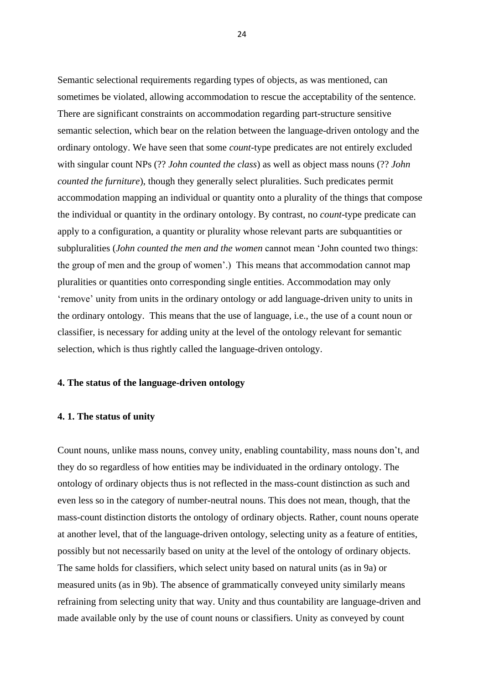Semantic selectional requirements regarding types of objects, as was mentioned, can sometimes be violated, allowing accommodation to rescue the acceptability of the sentence. There are significant constraints on accommodation regarding part-structure sensitive semantic selection, which bear on the relation between the language-driven ontology and the ordinary ontology. We have seen that some *count*-type predicates are not entirely excluded with singular count NPs (?? *John counted the class*) as well as object mass nouns (?? *John counted the furniture*), though they generally select pluralities. Such predicates permit accommodation mapping an individual or quantity onto a plurality of the things that compose the individual or quantity in the ordinary ontology. By contrast, no *count*-type predicate can apply to a configuration, a quantity or plurality whose relevant parts are subquantities or subpluralities (*John counted the men and the women* cannot mean 'John counted two things: the group of men and the group of women'.) This means that accommodation cannot map pluralities or quantities onto corresponding single entities. Accommodation may only 'remove' unity from units in the ordinary ontology or add language-driven unity to units in the ordinary ontology. This means that the use of language, i.e., the use of a count noun or classifier, is necessary for adding unity at the level of the ontology relevant for semantic selection, which is thus rightly called the language-driven ontology.

# **4. The status of the language-driven ontology**

#### **4. 1. The status of unity**

Count nouns, unlike mass nouns, convey unity, enabling countability, mass nouns don't, and they do so regardless of how entities may be individuated in the ordinary ontology. The ontology of ordinary objects thus is not reflected in the mass-count distinction as such and even less so in the category of number-neutral nouns. This does not mean, though, that the mass-count distinction distorts the ontology of ordinary objects. Rather, count nouns operate at another level, that of the language-driven ontology, selecting unity as a feature of entities, possibly but not necessarily based on unity at the level of the ontology of ordinary objects. The same holds for classifiers, which select unity based on natural units (as in 9a) or measured units (as in 9b). The absence of grammatically conveyed unity similarly means refraining from selecting unity that way. Unity and thus countability are language-driven and made available only by the use of count nouns or classifiers. Unity as conveyed by count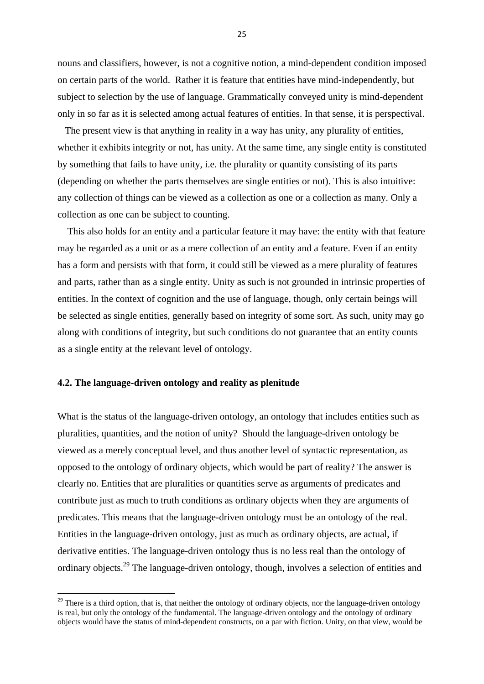nouns and classifiers, however, is not a cognitive notion, a mind-dependent condition imposed on certain parts of the world. Rather it is feature that entities have mind-independently, but subject to selection by the use of language. Grammatically conveyed unity is mind-dependent only in so far as it is selected among actual features of entities. In that sense, it is perspectival.

 The present view is that anything in reality in a way has unity, any plurality of entities, whether it exhibits integrity or not, has unity. At the same time, any single entity is constituted by something that fails to have unity, i.e. the plurality or quantity consisting of its parts (depending on whether the parts themselves are single entities or not). This is also intuitive: any collection of things can be viewed as a collection as one or a collection as many. Only a collection as one can be subject to counting.

 This also holds for an entity and a particular feature it may have: the entity with that feature may be regarded as a unit or as a mere collection of an entity and a feature. Even if an entity has a form and persists with that form, it could still be viewed as a mere plurality of features and parts, rather than as a single entity. Unity as such is not grounded in intrinsic properties of entities. In the context of cognition and the use of language, though, only certain beings will be selected as single entities, generally based on integrity of some sort. As such, unity may go along with conditions of integrity, but such conditions do not guarantee that an entity counts as a single entity at the relevant level of ontology.

#### **4.2. The language-driven ontology and reality as plenitude**

**.** 

What is the status of the language-driven ontology, an ontology that includes entities such as pluralities, quantities, and the notion of unity? Should the language-driven ontology be viewed as a merely conceptual level, and thus another level of syntactic representation, as opposed to the ontology of ordinary objects, which would be part of reality? The answer is clearly no. Entities that are pluralities or quantities serve as arguments of predicates and contribute just as much to truth conditions as ordinary objects when they are arguments of predicates. This means that the language-driven ontology must be an ontology of the real. Entities in the language-driven ontology, just as much as ordinary objects, are actual, if derivative entities. The language-driven ontology thus is no less real than the ontology of ordinary objects.<sup>29</sup> The language-driven ontology, though, involves a selection of entities and

 $29$  There is a third option, that is, that neither the ontology of ordinary objects, nor the language-driven ontology is real, but only the ontology of the fundamental. The language-driven ontology and the ontology of ordinary objects would have the status of mind-dependent constructs, on a par with fiction. Unity, on that view, would be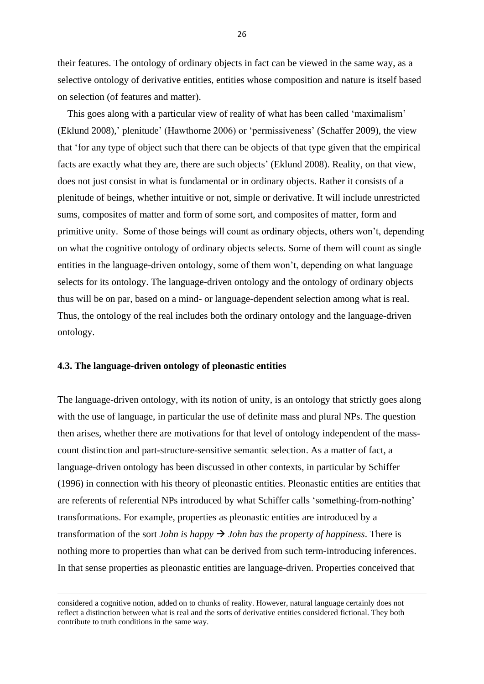their features. The ontology of ordinary objects in fact can be viewed in the same way, as a selective ontology of derivative entities, entities whose composition and nature is itself based on selection (of features and matter).

 This goes along with a particular view of reality of what has been called 'maximalism' (Eklund 2008),' plenitude' (Hawthorne 2006) or 'permissiveness' (Schaffer 2009), the view that 'for any type of object such that there can be objects of that type given that the empirical facts are exactly what they are, there are such objects' (Eklund 2008). Reality, on that view, does not just consist in what is fundamental or in ordinary objects. Rather it consists of a plenitude of beings, whether intuitive or not, simple or derivative. It will include unrestricted sums, composites of matter and form of some sort, and composites of matter, form and primitive unity. Some of those beings will count as ordinary objects, others won't, depending on what the cognitive ontology of ordinary objects selects. Some of them will count as single entities in the language-driven ontology, some of them won't, depending on what language selects for its ontology. The language-driven ontology and the ontology of ordinary objects thus will be on par, based on a mind- or language-dependent selection among what is real. Thus, the ontology of the real includes both the ordinary ontology and the language-driven ontology.

#### **4.3. The language-driven ontology of pleonastic entities**

**.** 

The language-driven ontology, with its notion of unity, is an ontology that strictly goes along with the use of language, in particular the use of definite mass and plural NPs. The question then arises, whether there are motivations for that level of ontology independent of the masscount distinction and part-structure-sensitive semantic selection. As a matter of fact, a language-driven ontology has been discussed in other contexts, in particular by Schiffer (1996) in connection with his theory of pleonastic entities. Pleonastic entities are entities that are referents of referential NPs introduced by what Schiffer calls 'something-from-nothing' transformations. For example, properties as pleonastic entities are introduced by a transformation of the sort *John is happy*  $\rightarrow$  *John has the property of happiness.* There is nothing more to properties than what can be derived from such term-introducing inferences. In that sense properties as pleonastic entities are language-driven. Properties conceived that

considered a cognitive notion, added on to chunks of reality. However, natural language certainly does not reflect a distinction between what is real and the sorts of derivative entities considered fictional. They both contribute to truth conditions in the same way.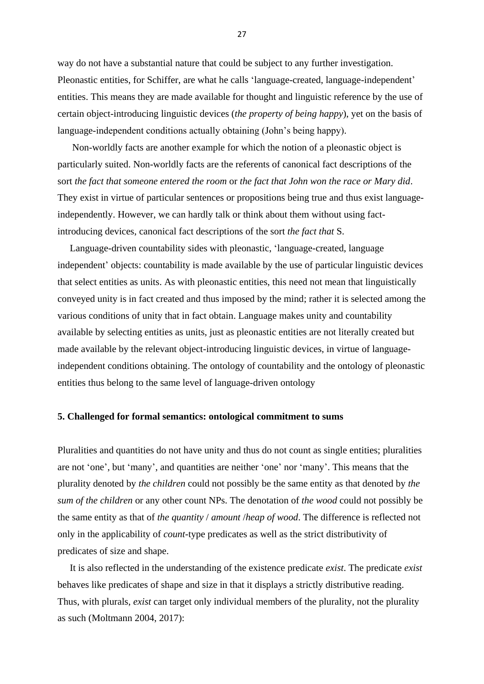way do not have a substantial nature that could be subject to any further investigation. Pleonastic entities, for Schiffer, are what he calls 'language-created, language-independent' entities. This means they are made available for thought and linguistic reference by the use of certain object-introducing linguistic devices (*the property of being happy*), yet on the basis of language-independent conditions actually obtaining (John's being happy).

 Non-worldly facts are another example for which the notion of a pleonastic object is particularly suited. Non-worldly facts are the referents of canonical fact descriptions of the sort *the fact that someone entered the room* or *the fact that John won the race or Mary did*. They exist in virtue of particular sentences or propositions being true and thus exist languageindependently. However, we can hardly talk or think about them without using factintroducing devices, canonical fact descriptions of the sort *the fact that* S.

 Language-driven countability sides with pleonastic, 'language-created, language independent' objects: countability is made available by the use of particular linguistic devices that select entities as units. As with pleonastic entities, this need not mean that linguistically conveyed unity is in fact created and thus imposed by the mind; rather it is selected among the various conditions of unity that in fact obtain. Language makes unity and countability available by selecting entities as units, just as pleonastic entities are not literally created but made available by the relevant object-introducing linguistic devices, in virtue of languageindependent conditions obtaining. The ontology of countability and the ontology of pleonastic entities thus belong to the same level of language-driven ontology

#### **5. Challenged for formal semantics: ontological commitment to sums**

Pluralities and quantities do not have unity and thus do not count as single entities; pluralities are not 'one', but 'many', and quantities are neither 'one' nor 'many'. This means that the plurality denoted by *the children* could not possibly be the same entity as that denoted by *the sum of the children* or any other count NPs. The denotation of *the wood* could not possibly be the same entity as that of *the quantity* / *amount* /*heap of wood*. The difference is reflected not only in the applicability of *count*-type predicates as well as the strict distributivity of predicates of size and shape.

 It is also reflected in the understanding of the existence predicate *exist*. The predicate *exist* behaves like predicates of shape and size in that it displays a strictly distributive reading. Thus, with plurals, *exist* can target only individual members of the plurality, not the plurality as such (Moltmann 2004, 2017):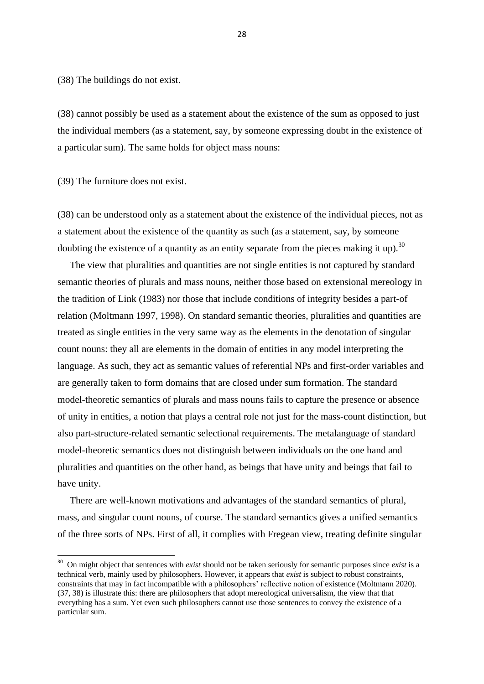(38) The buildings do not exist.

(38) cannot possibly be used as a statement about the existence of the sum as opposed to just the individual members (as a statement, say, by someone expressing doubt in the existence of a particular sum). The same holds for object mass nouns:

(39) The furniture does not exist.

(38) can be understood only as a statement about the existence of the individual pieces, not as a statement about the existence of the quantity as such (as a statement, say, by someone doubting the existence of a quantity as an entity separate from the pieces making it up).<sup>30</sup>

 The view that pluralities and quantities are not single entities is not captured by standard semantic theories of plurals and mass nouns, neither those based on extensional mereology in the tradition of Link (1983) nor those that include conditions of integrity besides a part-of relation (Moltmann 1997, 1998). On standard semantic theories, pluralities and quantities are treated as single entities in the very same way as the elements in the denotation of singular count nouns: they all are elements in the domain of entities in any model interpreting the language. As such, they act as semantic values of referential NPs and first-order variables and are generally taken to form domains that are closed under sum formation. The standard model-theoretic semantics of plurals and mass nouns fails to capture the presence or absence of unity in entities, a notion that plays a central role not just for the mass-count distinction, but also part-structure-related semantic selectional requirements. The metalanguage of standard model-theoretic semantics does not distinguish between individuals on the one hand and pluralities and quantities on the other hand, as beings that have unity and beings that fail to have unity.

 There are well-known motivations and advantages of the standard semantics of plural, mass, and singular count nouns, of course. The standard semantics gives a unified semantics of the three sorts of NPs. First of all, it complies with Fregean view, treating definite singular

 30 On might object that sentences with *exist* should not be taken seriously for semantic purposes since *exist* is a technical verb, mainly used by philosophers. However, it appears that *exist* is subject to robust constraints, constraints that may in fact incompatible with a philosophers' reflective notion of existence (Moltmann 2020). (37, 38) is illustrate this: there are philosophers that adopt mereological universalism, the view that that everything has a sum. Yet even such philosophers cannot use those sentences to convey the existence of a particular sum.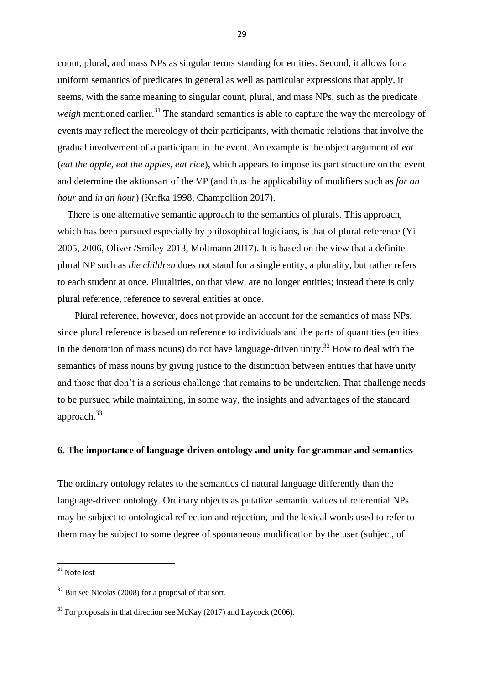count, plural, and mass NPs as singular terms standing for entities. Second, it allows for a uniform semantics of predicates in general as well as particular expressions that apply, it seems, with the same meaning to singular count, plural, and mass NPs, such as the predicate *weigh* mentioned earlier.<sup>31</sup> The standard semantics is able to capture the way the mereology of events may reflect the mereology of their participants, with thematic relations that involve the gradual involvement of a participant in the event. An example is the object argument of *eat* (*eat the apple, eat the apples, eat rice*), which appears to impose its part structure on the event and determine the aktionsart of the VP (and thus the applicability of modifiers such as *for an hour* and *in an hour*) (Krifka 1998, Champollion 2017).

 There is one alternative semantic approach to the semantics of plurals. This approach, which has been pursued especially by philosophical logicians, is that of plural reference (Yi 2005, 2006, Oliver /Smiley 2013, Moltmann 2017). It is based on the view that a definite plural NP such as *the children* does not stand for a single entity, a plurality, but rather refers to each student at once. Pluralities, on that view, are no longer entities; instead there is only plural reference, reference to several entities at once.

 Plural reference, however, does not provide an account for the semantics of mass NPs, since plural reference is based on reference to individuals and the parts of quantities (entities in the denotation of mass nouns) do not have language-driven unity.<sup>32</sup> How to deal with the semantics of mass nouns by giving justice to the distinction between entities that have unity and those that don't is a serious challenge that remains to be undertaken. That challenge needs to be pursued while maintaining, in some way, the insights and advantages of the standard approach.<sup>33</sup>

# **6. The importance of language-driven ontology and unity for grammar and semantics**

The ordinary ontology relates to the semantics of natural language differently than the language-driven ontology. Ordinary objects as putative semantic values of referential NPs may be subject to ontological reflection and rejection, and the lexical words used to refer to them may be subject to some degree of spontaneous modification by the user (subject, of

**.** 

 $31$  Note lost

 $32$  But see Nicolas (2008) for a proposal of that sort.

<sup>&</sup>lt;sup>33</sup> For proposals in that direction see McKay (2017) and Laycock (2006).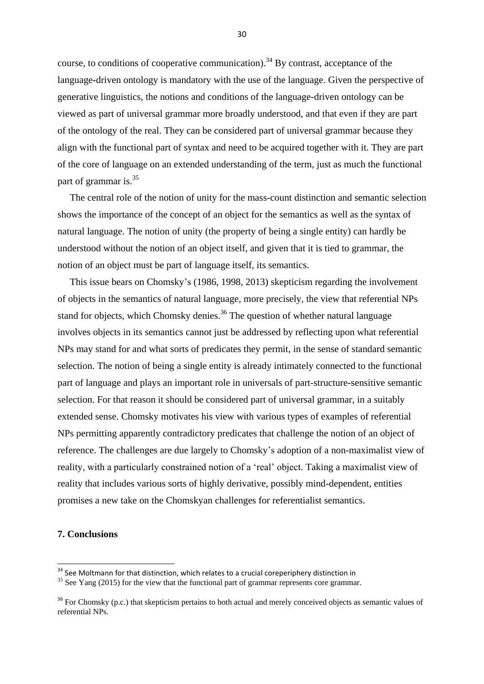course, to conditions of cooperative communication).<sup>34</sup> By contrast, acceptance of the language-driven ontology is mandatory with the use of the language. Given the perspective of generative linguistics, the notions and conditions of the language-driven ontology can be viewed as part of universal grammar more broadly understood, and that even if they are part of the ontology of the real. They can be considered part of universal grammar because they align with the functional part of syntax and need to be acquired together with it. They are part of the core of language on an extended understanding of the term, just as much the functional part of grammar is.<sup>35</sup>

 The central role of the notion of unity for the mass-count distinction and semantic selection shows the importance of the concept of an object for the semantics as well as the syntax of natural language. The notion of unity (the property of being a single entity) can hardly be understood without the notion of an object itself, and given that it is tied to grammar, the notion of an object must be part of language itself, its semantics.

 This issue bears on Chomsky's (1986, 1998, 2013) skepticism regarding the involvement of objects in the semantics of natural language, more precisely, the view that referential NPs stand for objects, which Chomsky denies.<sup>36</sup> The question of whether natural language involves objects in its semantics cannot just be addressed by reflecting upon what referential NPs may stand for and what sorts of predicates they permit, in the sense of standard semantic selection. The notion of being a single entity is already intimately connected to the functional part of language and plays an important role in universals of part-structure-sensitive semantic selection. For that reason it should be considered part of universal grammar, in a suitably extended sense. Chomsky motivates his view with various types of examples of referential NPs permitting apparently contradictory predicates that challenge the notion of an object of reference. The challenges are due largely to Chomsky's adoption of a non-maximalist view of reality, with a particularly constrained notion of a 'real' object. Taking a maximalist view of reality that includes various sorts of highly derivative, possibly mind-dependent, entities promises a new take on the Chomskyan challenges for referentialist semantics.

# **7. Conclusions**

**.** 

<sup>&</sup>lt;sup>34</sup> See Moltmann for that distinction, which relates to a crucial coreperiphery distinction in

 $35$  See Yang (2015) for the view that the functional part of grammar represents core grammar.

<sup>&</sup>lt;sup>36</sup> For Chomsky (p.c.) that skepticism pertains to both actual and merely conceived objects as semantic values of referential NPs.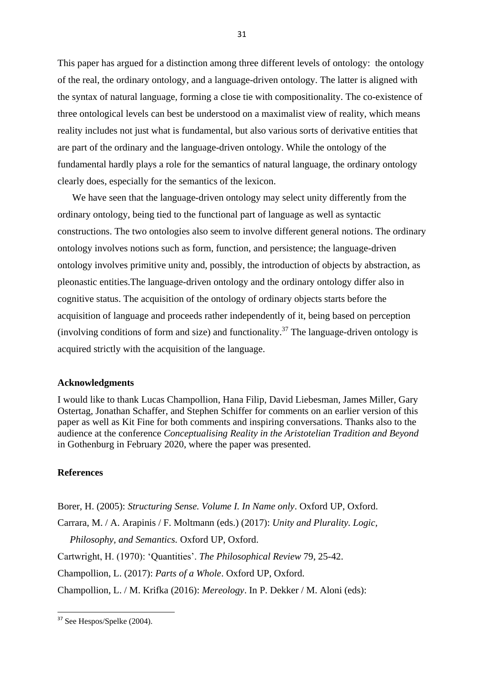This paper has argued for a distinction among three different levels of ontology: the ontology of the real, the ordinary ontology, and a language-driven ontology. The latter is aligned with the syntax of natural language, forming a close tie with compositionality. The co-existence of three ontological levels can best be understood on a maximalist view of reality, which means reality includes not just what is fundamental, but also various sorts of derivative entities that are part of the ordinary and the language-driven ontology. While the ontology of the fundamental hardly plays a role for the semantics of natural language, the ordinary ontology clearly does, especially for the semantics of the lexicon.

 We have seen that the language-driven ontology may select unity differently from the ordinary ontology, being tied to the functional part of language as well as syntactic constructions. The two ontologies also seem to involve different general notions. The ordinary ontology involves notions such as form, function, and persistence; the language-driven ontology involves primitive unity and, possibly, the introduction of objects by abstraction, as pleonastic entities.The language-driven ontology and the ordinary ontology differ also in cognitive status. The acquisition of the ontology of ordinary objects starts before the acquisition of language and proceeds rather independently of it, being based on perception (involving conditions of form and size) and functionality.<sup>37</sup> The language-driven ontology is acquired strictly with the acquisition of the language.

#### **Acknowledgments**

I would like to thank Lucas Champollion, Hana Filip, David Liebesman, James Miller, Gary Ostertag, Jonathan Schaffer, and Stephen Schiffer for comments on an earlier version of this paper as well as Kit Fine for both comments and inspiring conversations. Thanks also to the audience at the conference *Conceptualising Reality in the Aristotelian Tradition and Beyond* in Gothenburg in February 2020, where the paper was presented.

# **References**

Borer, H. (2005): *Structuring Sense. Volume I. In Name only*. Oxford UP, Oxford.

Carrara, M. / A. Arapinis / F. Moltmann (eds.) (2017): *Unity and Plurality. Logic,* 

 *Philosophy, and Semantics.* Oxford UP, Oxford.

- Cartwright, H. (1970): 'Quantities'. *The Philosophical Review* 79, 25-42.
- Champollion, L. (2017): *Parts of a Whole*. Oxford UP, Oxford.

Champollion, L. / M. Krifka (2016): *Mereology*. In P. Dekker / M. Aloni (eds):

**<sup>.</sup>** <sup>37</sup> See Hespos/Spelke (2004).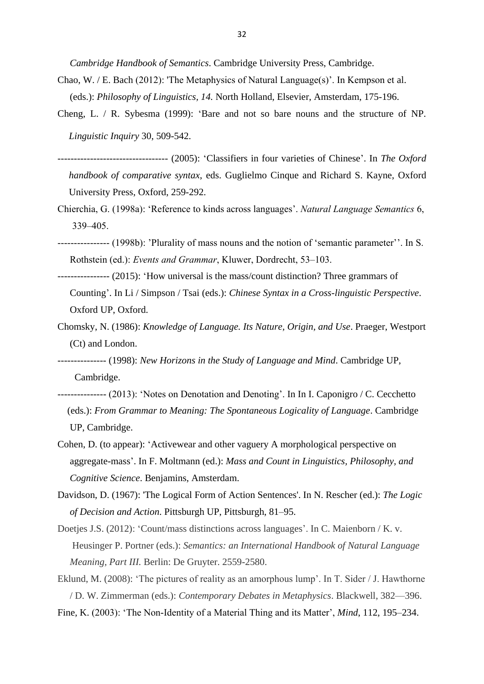*Cambridge Handbook of Semantics*. Cambridge University Press, Cambridge.

- Chao, W. / E. Bach (2012): 'The Metaphysics of Natural Language(s)'. In Kempson et al. (eds.): *Philosophy of Linguistics, 14.* North Holland, Elsevier, Amsterdam, 175-196.
- Cheng, L. / R. Sybesma (1999): 'Bare and not so bare nouns and the structure of NP. *Linguistic Inquiry* 30, 509-542.
- ---------------------------------- (2005): 'Classifiers in four varieties of Chinese'. In *The Oxford handbook of comparative syntax*, eds. Guglielmo Cinque and Richard S. Kayne, Oxford University Press, Oxford, 259-292.
- Chierchia, G. (1998a): 'Reference to kinds across languages'. *Natural Language Semantics* 6, 339–405.
- ---------------- (1998b): 'Plurality of mass nouns and the notion of 'semantic parameter''. In S. Rothstein (ed.): *Events and Grammar*, Kluwer, Dordrecht, 53–103.
- ---------------- (2015): 'How universal is the mass/count distinction? Three grammars of Counting'. In Li / Simpson / Tsai (eds.): *Chinese Syntax in a Cross-linguistic Perspective*. Oxford UP, Oxford.
- Chomsky, N. (1986): *Knowledge of Language. Its Nature, Origin, and Use*. Praeger, Westport (Ct) and London.
- --------------- (1998): *New Horizons in the Study of Language and Mind*. Cambridge UP, Cambridge.
- --------------- (2013): 'Notes on Denotation and Denoting'. In In I. Caponigro / C. Cecchetto (eds.): *From Grammar to Meaning: The Spontaneous Logicality of Language*. Cambridge UP, Cambridge.
- Cohen, D. (to appear): 'Activewear and other vaguery A morphological perspective on aggregate-mass'. In F. Moltmann (ed.): *Mass and Count in Linguistics, Philosophy, and Cognitive Science*. Benjamins, Amsterdam.
- Davidson, D. (1967): 'The Logical Form of Action Sentences'. In N. Rescher (ed.): *The Logic of Decision and Action*. Pittsburgh UP, Pittsburgh, 81–95.
- Doetjes J.S. (2012): 'Count/mass distinctions across languages'. In C. Maienborn / K. v. Heusinger P. Portner (eds.): *Semantics: an International Handbook of Natural Language Meaning, Part III.* Berlin: De Gruyter. 2559-2580.
- Eklund, M. (2008): 'The pictures of reality as an amorphous lump'. In T. Sider / J. Hawthorne / D. W. Zimmerman (eds.): *Contemporary Debates in Metaphysics*. Blackwell, 382—396. Fine, K. (2003): 'The Non-Identity of a Material Thing and its Matter', *Mind*, 112, 195–234.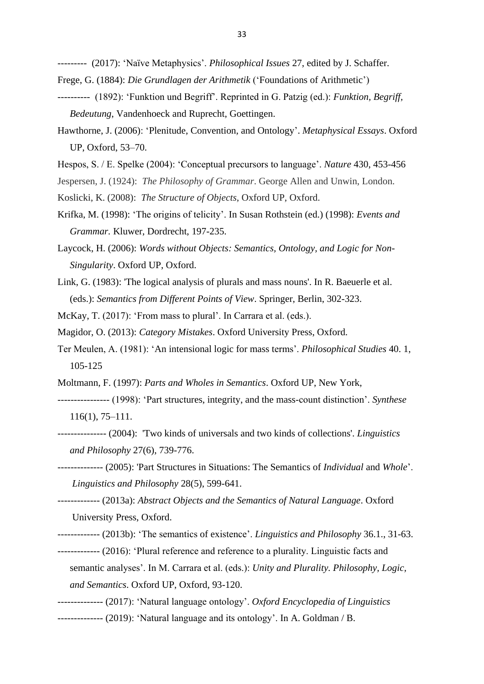--------- (2017): 'Naïve Metaphysics'. *Philosophical Issues* 27, edited by J. Schaffer.

- Frege, G. (1884): *Die Grundlagen der Arithmetik* ('Foundations of Arithmetic')
- ---------- (1892): 'Funktion und Begriff'. Reprinted in G. Patzig (ed.): *Funktion, Begriff, Bedeutung*, Vandenhoeck and Ruprecht, Goettingen.
- Hawthorne, J. (2006): 'Plenitude, Convention, and Ontology'. *Metaphysical Essays*. Oxford UP, Oxford, 53–70.
- Hespos, S. / E. Spelke (2004): 'Conceptual precursors to language'. *Nature* 430, 453-456
- Jespersen, J. (1924): *The Philosophy of Grammar*. George Allen and Unwin, London.
- Koslicki, K. (2008): *The Structure of Objects*, Oxford UP, Oxford.
- Krifka, M. (1998): 'The origins of telicity'. In Susan Rothstein (ed.) (1998): *Events and Grammar.* Kluwer, Dordrecht, 197-235.
- Laycock, H. (2006): *Words without Objects: Semantics, Ontology, and Logic for Non- Singularity*. Oxford UP, Oxford.
- Link, G. (1983): 'The logical analysis of plurals and mass nouns'. In R. Baeuerle et al. (eds.): *Semantics from Different Points of View*. Springer, Berlin, 302-323.
- McKay, T. (2017): 'From mass to plural'. In Carrara et al. (eds.).
- Magidor, O. (2013): *Category Mistakes*. Oxford University Press, Oxford.
- Ter Meulen, A. (1981): 'An intensional logic for mass terms'. *Philosophical Studies* 40. 1, 105-125
- Moltmann, F. (1997): *Parts and Wholes in Semantics*. Oxford UP, New York,
- ---------------- (1998): 'Part structures, integrity, and the mass-count distinction'. *Synthese* 116(1), 75–111.
- --------------- (2004): 'Two kinds of universals and two kinds of collections'. *Linguistics and Philosophy* 27(6), 739-776.
- -------------- (2005): 'Part Structures in Situations: The Semantics of *Individual* and *Whole*'. *Linguistics and Philosophy* 28(5), 599-641.
- ------------- (2013a): *Abstract Objects and the Semantics of Natural Language*. Oxford University Press, Oxford.
- ------------- (2013b): 'The semantics of existence'. *Linguistics and Philosophy* 36.1., 31-63.
- ------------- (2016): 'Plural reference and reference to a plurality. Linguistic facts and
	- semantic analyses'. In M. Carrara et al. (eds.): *Unity and Plurality. Philosophy, Logic, and Semantics*. Oxford UP, Oxford, 93-120.
- -------------- (2017): 'Natural language ontology'. *Oxford Encyclopedia of Linguistics*
- *-------------* (2019): 'Natural language and its ontology'. In A. Goldman / B.